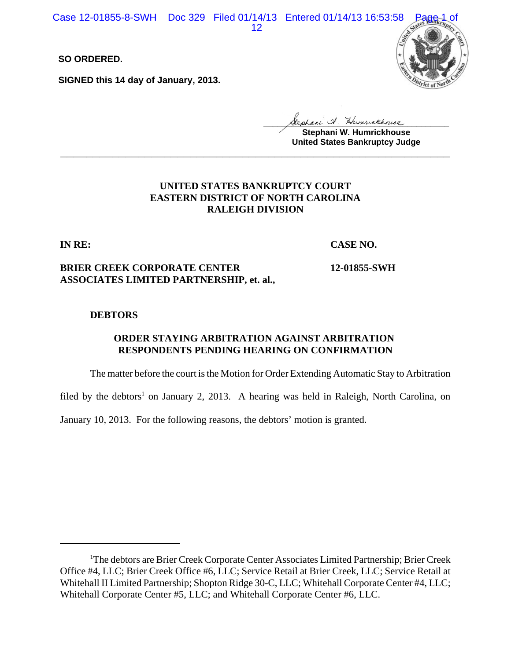Case 12-01855-8-SWH Doc 329 Filed 01/14/13 Entered 01/14/13 16:53:58

12

**SO ORDERED.**

**SIGNED this 14 day of January, 2013.**



**\_\_\_\_\_\_\_\_\_\_\_\_\_\_\_\_\_\_\_\_\_\_\_\_\_\_\_\_\_\_\_\_\_\_\_\_\_\_\_\_**

**Stephani W. Humrickhouse United States Bankruptcy Judge \_\_\_\_\_\_\_\_\_\_\_\_\_\_\_\_\_\_\_\_\_\_\_\_\_\_\_\_\_\_\_\_\_\_\_\_\_\_\_\_\_\_\_\_\_\_\_\_\_\_\_\_\_\_\_\_\_\_\_\_**

# **UNITED STATES BANKRUPTCY COURT EASTERN DISTRICT OF NORTH CAROLINA RALEIGH DIVISION**

**IN RE:**

**CASE NO.**

**12-01855-SWH**

# **BRIER CREEK CORPORATE CENTER ASSOCIATES LIMITED PARTNERSHIP, et. al.,**

# **DEBTORS**

# **ORDER STAYING ARBITRATION AGAINST ARBITRATION RESPONDENTS PENDING HEARING ON CONFIRMATION**

The matter before the court is the Motion for Order Extending Automatic Stay to Arbitration

filed by the debtors<sup>1</sup> on January 2, 2013. A hearing was held in Raleigh, North Carolina, on

January 10, 2013. For the following reasons, the debtors' motion is granted.

<sup>&</sup>lt;sup>1</sup>The debtors are Brier Creek Corporate Center Associates Limited Partnership; Brier Creek Office #4, LLC; Brier Creek Office #6, LLC; Service Retail at Brier Creek, LLC; Service Retail at Whitehall II Limited Partnership; Shopton Ridge 30-C, LLC; Whitehall Corporate Center #4, LLC; Whitehall Corporate Center #5, LLC; and Whitehall Corporate Center #6, LLC.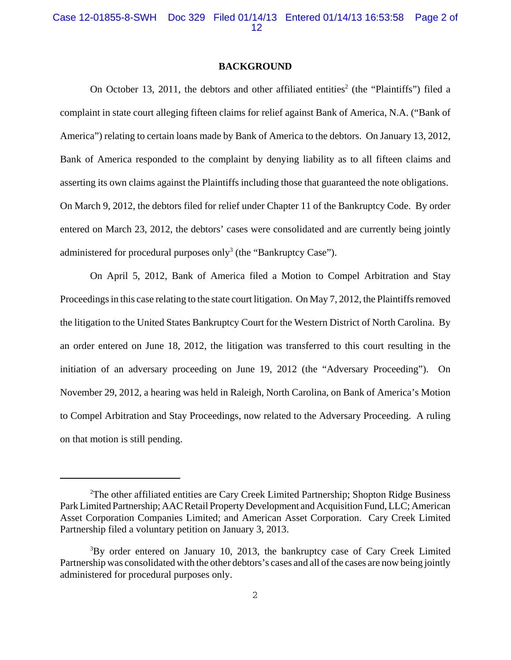#### **BACKGROUND**

On October 13, 2011, the debtors and other affiliated entities<sup>2</sup> (the "Plaintiffs") filed a complaint in state court alleging fifteen claims for relief against Bank of America, N.A. ("Bank of America") relating to certain loans made by Bank of America to the debtors. On January 13, 2012, Bank of America responded to the complaint by denying liability as to all fifteen claims and asserting its own claims against the Plaintiffs including those that guaranteed the note obligations. On March 9, 2012, the debtors filed for relief under Chapter 11 of the Bankruptcy Code. By order entered on March 23, 2012, the debtors' cases were consolidated and are currently being jointly administered for procedural purposes only<sup>3</sup> (the "Bankruptcy Case").

On April 5, 2012, Bank of America filed a Motion to Compel Arbitration and Stay Proceedings in this case relating to the state court litigation. On May 7, 2012, the Plaintiffs removed the litigation to the United States Bankruptcy Court for the Western District of North Carolina. By an order entered on June 18, 2012, the litigation was transferred to this court resulting in the initiation of an adversary proceeding on June 19, 2012 (the "Adversary Proceeding"). On November 29, 2012, a hearing was held in Raleigh, North Carolina, on Bank of America's Motion to Compel Arbitration and Stay Proceedings, now related to the Adversary Proceeding. A ruling on that motion is still pending.

<sup>&</sup>lt;sup>2</sup>The other affiliated entities are Cary Creek Limited Partnership; Shopton Ridge Business Park Limited Partnership; AAC Retail Property Development and Acquisition Fund, LLC; American Asset Corporation Companies Limited; and American Asset Corporation. Cary Creek Limited Partnership filed a voluntary petition on January 3, 2013.

<sup>&</sup>lt;sup>3</sup>By order entered on January 10, 2013, the bankruptcy case of Cary Creek Limited Partnership was consolidated with the other debtors's cases and all of the cases are now being jointly administered for procedural purposes only.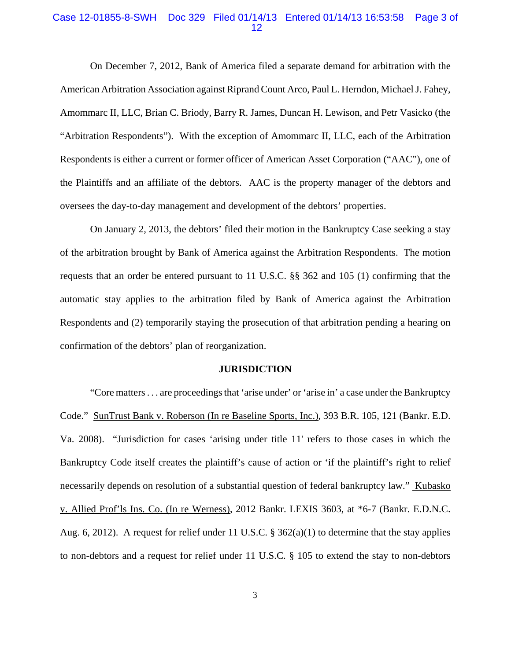### Case 12-01855-8-SWH Doc 329 Filed 01/14/13 Entered 01/14/13 16:53:58 Page 3 of 12

On December 7, 2012, Bank of America filed a separate demand for arbitration with the American Arbitration Association against Riprand Count Arco, Paul L. Herndon, Michael J. Fahey, Amommarc II, LLC, Brian C. Briody, Barry R. James, Duncan H. Lewison, and Petr Vasicko (the "Arbitration Respondents"). With the exception of Amommarc II, LLC, each of the Arbitration Respondents is either a current or former officer of American Asset Corporation ("AAC"), one of the Plaintiffs and an affiliate of the debtors. AAC is the property manager of the debtors and oversees the day-to-day management and development of the debtors' properties.

On January 2, 2013, the debtors' filed their motion in the Bankruptcy Case seeking a stay of the arbitration brought by Bank of America against the Arbitration Respondents. The motion requests that an order be entered pursuant to 11 U.S.C. §§ 362 and 105 (1) confirming that the automatic stay applies to the arbitration filed by Bank of America against the Arbitration Respondents and (2) temporarily staying the prosecution of that arbitration pending a hearing on confirmation of the debtors' plan of reorganization.

### **JURISDICTION**

"Core matters . . . are proceedings that 'arise under' or 'arise in' a case under the Bankruptcy Code." SunTrust Bank v. Roberson (In re Baseline Sports, Inc.), 393 B.R. 105, 121 (Bankr. E.D. Va. 2008). "Jurisdiction for cases 'arising under title 11' refers to those cases in which the Bankruptcy Code itself creates the plaintiff's cause of action or 'if the plaintiff's right to relief necessarily depends on resolution of a substantial question of federal bankruptcy law." Kubasko v. Allied Prof'ls Ins. Co. (In re Werness), 2012 Bankr. LEXIS 3603, at \*6-7 (Bankr. E.D.N.C. Aug. 6, 2012). A request for relief under 11 U.S.C.  $\S 362(a)(1)$  to determine that the stay applies to non-debtors and a request for relief under 11 U.S.C. § 105 to extend the stay to non-debtors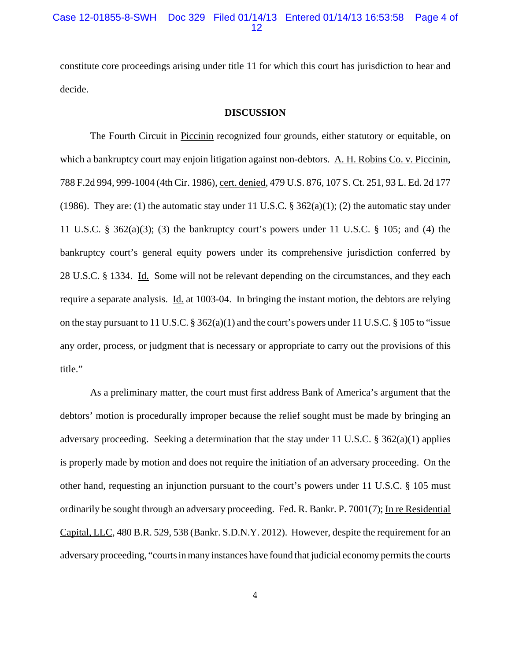constitute core proceedings arising under title 11 for which this court has jurisdiction to hear and decide.

#### **DISCUSSION**

The Fourth Circuit in Piccinin recognized four grounds, either statutory or equitable, on which a bankruptcy court may enjoin litigation against non-debtors. A. H. Robins Co. v. Piccinin, 788 F.2d 994, 999-1004 (4th Cir. 1986), cert. denied, 479 U.S. 876, 107 S. Ct. 251, 93 L. Ed. 2d 177 (1986). They are: (1) the automatic stay under 11 U.S.C.  $\S$  362(a)(1); (2) the automatic stay under 11 U.S.C. § 362(a)(3); (3) the bankruptcy court's powers under 11 U.S.C. § 105; and (4) the bankruptcy court's general equity powers under its comprehensive jurisdiction conferred by 28 U.S.C. § 1334. Id. Some will not be relevant depending on the circumstances, and they each require a separate analysis. Id. at 1003-04. In bringing the instant motion, the debtors are relying on the stay pursuant to 11 U.S.C. § 362(a)(1) and the court's powers under 11 U.S.C. § 105 to "issue any order, process, or judgment that is necessary or appropriate to carry out the provisions of this title."

As a preliminary matter, the court must first address Bank of America's argument that the debtors' motion is procedurally improper because the relief sought must be made by bringing an adversary proceeding. Seeking a determination that the stay under 11 U.S.C.  $\S$  362(a)(1) applies is properly made by motion and does not require the initiation of an adversary proceeding. On the other hand, requesting an injunction pursuant to the court's powers under 11 U.S.C. § 105 must ordinarily be sought through an adversary proceeding. Fed. R. Bankr. P. 7001(7); In re Residential Capital, LLC, 480 B.R. 529, 538 (Bankr. S.D.N.Y. 2012). However, despite the requirement for an adversary proceeding, "courts in many instances have found that judicial economy permits the courts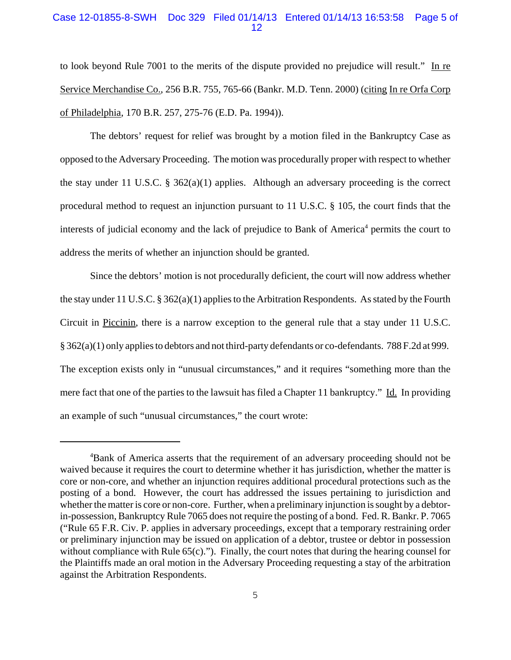## Case 12-01855-8-SWH Doc 329 Filed 01/14/13 Entered 01/14/13 16:53:58 Page 5 of 12

to look beyond Rule 7001 to the merits of the dispute provided no prejudice will result." In re Service Merchandise Co., 256 B.R. 755, 765-66 (Bankr. M.D. Tenn. 2000) (citing In re Orfa Corp of Philadelphia, 170 B.R. 257, 275-76 (E.D. Pa. 1994)).

The debtors' request for relief was brought by a motion filed in the Bankruptcy Case as opposed to the Adversary Proceeding. The motion was procedurally proper with respect to whether the stay under 11 U.S.C. §  $362(a)(1)$  applies. Although an adversary proceeding is the correct procedural method to request an injunction pursuant to 11 U.S.C. § 105, the court finds that the interests of judicial economy and the lack of prejudice to Bank of America<sup>4</sup> permits the court to address the merits of whether an injunction should be granted.

Since the debtors' motion is not procedurally deficient, the court will now address whether the stay under 11 U.S.C. § 362(a)(1) applies to the Arbitration Respondents. As stated by the Fourth Circuit in Piccinin, there is a narrow exception to the general rule that a stay under 11 U.S.C. § 362(a)(1) only applies to debtors and not third-party defendants or co-defendants. 788 F.2d at 999. The exception exists only in "unusual circumstances," and it requires "something more than the mere fact that one of the parties to the lawsuit has filed a Chapter 11 bankruptcy." Id. In providing an example of such "unusual circumstances," the court wrote:

<sup>&</sup>lt;sup>4</sup>Bank of America asserts that the requirement of an adversary proceeding should not be waived because it requires the court to determine whether it has jurisdiction, whether the matter is core or non-core, and whether an injunction requires additional procedural protections such as the posting of a bond. However, the court has addressed the issues pertaining to jurisdiction and whether the matter is core or non-core. Further, when a preliminary injunction is sought by a debtorin-possession, Bankruptcy Rule 7065 does not require the posting of a bond. Fed. R. Bankr. P. 7065 ("Rule 65 F.R. Civ. P. applies in adversary proceedings, except that a temporary restraining order or preliminary injunction may be issued on application of a debtor, trustee or debtor in possession without compliance with Rule 65(c)."). Finally, the court notes that during the hearing counsel for the Plaintiffs made an oral motion in the Adversary Proceeding requesting a stay of the arbitration against the Arbitration Respondents.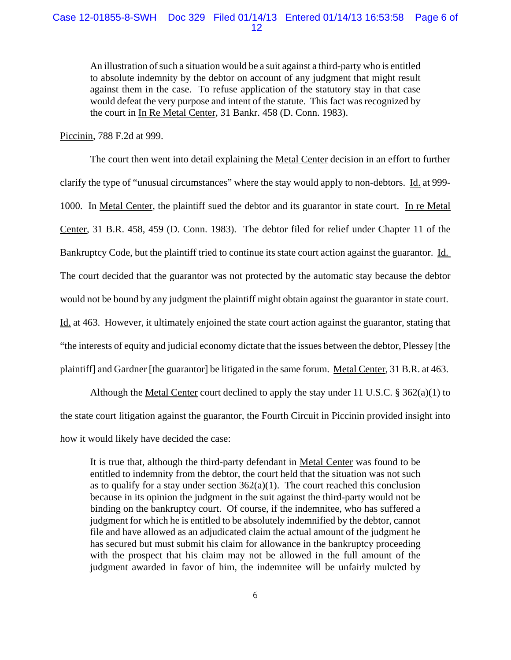An illustration of such a situation would be a suit against a third-party who is entitled to absolute indemnity by the debtor on account of any judgment that might result against them in the case. To refuse application of the statutory stay in that case would defeat the very purpose and intent of the statute. This fact was recognized by the court in In Re Metal Center, 31 Bankr. 458 (D. Conn. 1983).

Piccinin, 788 F.2d at 999.

The court then went into detail explaining the Metal Center decision in an effort to further clarify the type of "unusual circumstances" where the stay would apply to non-debtors. Id. at 999- 1000. In Metal Center, the plaintiff sued the debtor and its guarantor in state court. In re Metal Center, 31 B.R. 458, 459 (D. Conn. 1983). The debtor filed for relief under Chapter 11 of the Bankruptcy Code, but the plaintiff tried to continue its state court action against the guarantor. Id. The court decided that the guarantor was not protected by the automatic stay because the debtor would not be bound by any judgment the plaintiff might obtain against the guarantor in state court. Id. at 463. However, it ultimately enjoined the state court action against the guarantor, stating that "the interests of equity and judicial economy dictate that the issues between the debtor, Plessey [the plaintiff] and Gardner [the guarantor] be litigated in the same forum. Metal Center, 31 B.R. at 463.

Although the Metal Center court declined to apply the stay under 11 U.S.C. § 362(a)(1) to the state court litigation against the guarantor, the Fourth Circuit in Piccinin provided insight into how it would likely have decided the case:

It is true that, although the third-party defendant in Metal Center was found to be entitled to indemnity from the debtor, the court held that the situation was not such as to qualify for a stay under section  $362(a)(1)$ . The court reached this conclusion because in its opinion the judgment in the suit against the third-party would not be binding on the bankruptcy court. Of course, if the indemnitee, who has suffered a judgment for which he is entitled to be absolutely indemnified by the debtor, cannot file and have allowed as an adjudicated claim the actual amount of the judgment he has secured but must submit his claim for allowance in the bankruptcy proceeding with the prospect that his claim may not be allowed in the full amount of the judgment awarded in favor of him, the indemnitee will be unfairly mulcted by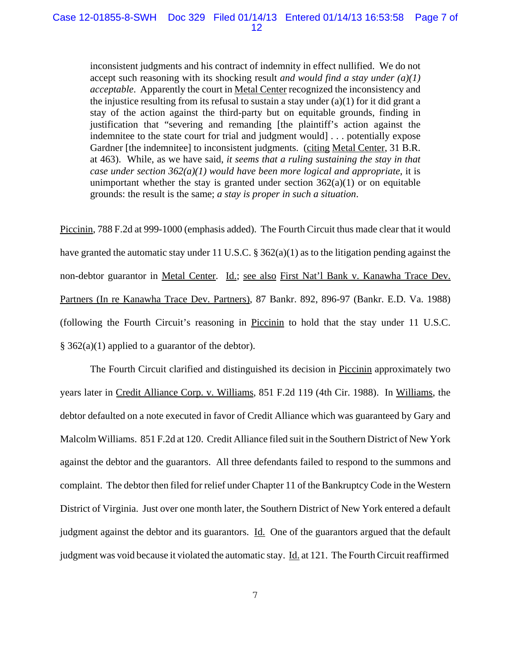inconsistent judgments and his contract of indemnity in effect nullified. We do not accept such reasoning with its shocking result *and would find a stay under (a)(1) acceptable*. Apparently the court in Metal Center recognized the inconsistency and the injustice resulting from its refusal to sustain a stay under  $(a)(1)$  for it did grant a stay of the action against the third-party but on equitable grounds, finding in justification that "severing and remanding [the plaintiff's action against the indemnitee to the state court for trial and judgment would] . . . potentially expose Gardner [the indemnitee] to inconsistent judgments. (citing Metal Center, 31 B.R. at 463). While, as we have said, *it seems that a ruling sustaining the stay in that case under section 362(a)(1) would have been more logical and appropriate*, it is unimportant whether the stay is granted under section  $362(a)(1)$  or on equitable grounds: the result is the same; *a stay is proper in such a situation*.

Piccinin, 788 F.2d at 999-1000 (emphasis added). The Fourth Circuit thus made clear that it would have granted the automatic stay under 11 U.S.C. § 362(a)(1) as to the litigation pending against the non-debtor guarantor in Metal Center. Id.; see also First Nat'l Bank v. Kanawha Trace Dev. Partners (In re Kanawha Trace Dev. Partners), 87 Bankr. 892, 896-97 (Bankr. E.D. Va. 1988) (following the Fourth Circuit's reasoning in Piccinin to hold that the stay under 11 U.S.C. § 362(a)(1) applied to a guarantor of the debtor).

The Fourth Circuit clarified and distinguished its decision in Piccinin approximately two years later in Credit Alliance Corp. v. Williams, 851 F.2d 119 (4th Cir. 1988). In Williams, the debtor defaulted on a note executed in favor of Credit Alliance which was guaranteed by Gary and Malcolm Williams. 851 F.2d at 120. Credit Alliance filed suit in the Southern District of New York against the debtor and the guarantors. All three defendants failed to respond to the summons and complaint. The debtor then filed for relief under Chapter 11 of the Bankruptcy Code in the Western District of Virginia. Just over one month later, the Southern District of New York entered a default judgment against the debtor and its guarantors. Id. One of the guarantors argued that the default judgment was void because it violated the automatic stay. Id. at 121. The Fourth Circuit reaffirmed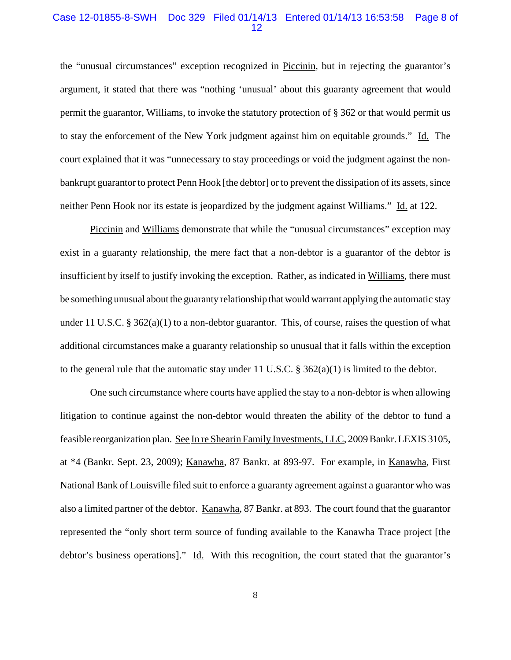### Case 12-01855-8-SWH Doc 329 Filed 01/14/13 Entered 01/14/13 16:53:58 Page 8 of 12

the "unusual circumstances" exception recognized in Piccinin, but in rejecting the guarantor's argument, it stated that there was "nothing 'unusual' about this guaranty agreement that would permit the guarantor, Williams, to invoke the statutory protection of § 362 or that would permit us to stay the enforcement of the New York judgment against him on equitable grounds." Id. The court explained that it was "unnecessary to stay proceedings or void the judgment against the nonbankrupt guarantor to protect Penn Hook [the debtor] or to prevent the dissipation of its assets, since neither Penn Hook nor its estate is jeopardized by the judgment against Williams." Id. at 122.

Piccinin and Williams demonstrate that while the "unusual circumstances" exception may exist in a guaranty relationship, the mere fact that a non-debtor is a guarantor of the debtor is insufficient by itself to justify invoking the exception. Rather, as indicated in Williams, there must be something unusual about the guaranty relationship that would warrant applying the automatic stay under 11 U.S.C. § 362(a)(1) to a non-debtor guarantor. This, of course, raises the question of what additional circumstances make a guaranty relationship so unusual that it falls within the exception to the general rule that the automatic stay under 11 U.S.C. § 362(a)(1) is limited to the debtor.

One such circumstance where courts have applied the stay to a non-debtor is when allowing litigation to continue against the non-debtor would threaten the ability of the debtor to fund a feasible reorganization plan. See In re Shearin Family Investments, LLC, 2009 Bankr. LEXIS 3105, at \*4 (Bankr. Sept. 23, 2009); Kanawha, 87 Bankr. at 893-97. For example, in Kanawha, First National Bank of Louisville filed suit to enforce a guaranty agreement against a guarantor who was also a limited partner of the debtor. Kanawha, 87 Bankr. at 893. The court found that the guarantor represented the "only short term source of funding available to the Kanawha Trace project [the debtor's business operations]." Id. With this recognition, the court stated that the guarantor's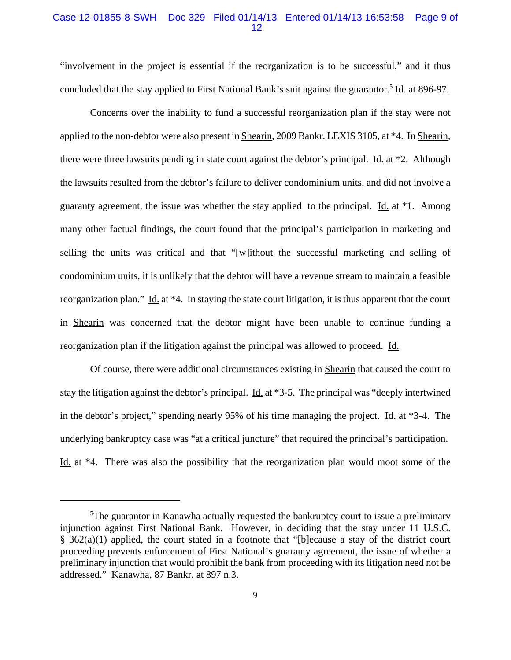## Case 12-01855-8-SWH Doc 329 Filed 01/14/13 Entered 01/14/13 16:53:58 Page 9 of 12

"involvement in the project is essential if the reorganization is to be successful," and it thus concluded that the stay applied to First National Bank's suit against the guarantor.<sup>5</sup> Id. at 896-97.

Concerns over the inability to fund a successful reorganization plan if the stay were not applied to the non-debtor were also present in Shearin, 2009 Bankr. LEXIS 3105, at \*4. In Shearin, there were three lawsuits pending in state court against the debtor's principal. <u>Id.</u> at \*2. Although the lawsuits resulted from the debtor's failure to deliver condominium units, and did not involve a guaranty agreement, the issue was whether the stay applied to the principal.  $\underline{Id}$  at \*1. Among many other factual findings, the court found that the principal's participation in marketing and selling the units was critical and that "[w]ithout the successful marketing and selling of condominium units, it is unlikely that the debtor will have a revenue stream to maintain a feasible reorganization plan." Id. at \*4. In staying the state court litigation, it is thus apparent that the court in Shearin was concerned that the debtor might have been unable to continue funding a reorganization plan if the litigation against the principal was allowed to proceed. Id.

Of course, there were additional circumstances existing in Shearin that caused the court to stay the litigation against the debtor's principal. <u>Id.</u> at \*3-5. The principal was "deeply intertwined in the debtor's project," spending nearly 95% of his time managing the project. Id. at \*3-4. The underlying bankruptcy case was "at a critical juncture" that required the principal's participation. Id. at \*4. There was also the possibility that the reorganization plan would moot some of the

<sup>&</sup>lt;sup>5</sup>The guarantor in Kanawha actually requested the bankruptcy court to issue a preliminary injunction against First National Bank. However, in deciding that the stay under 11 U.S.C. § 362(a)(1) applied, the court stated in a footnote that "[b]ecause a stay of the district court proceeding prevents enforcement of First National's guaranty agreement, the issue of whether a preliminary injunction that would prohibit the bank from proceeding with its litigation need not be addressed." Kanawha, 87 Bankr. at 897 n.3.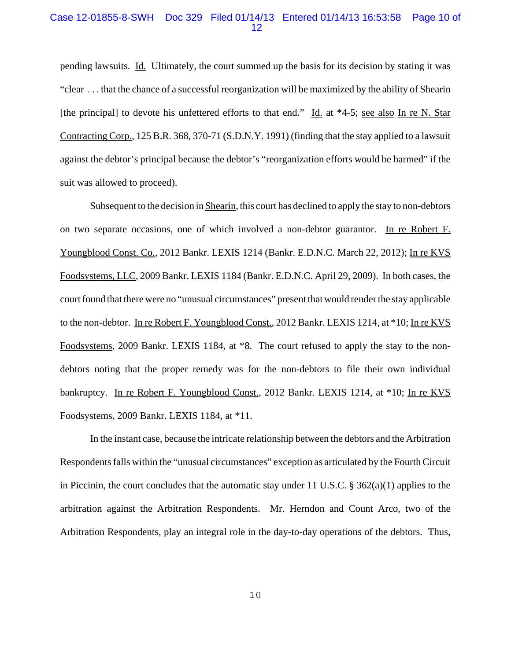### Case 12-01855-8-SWH Doc 329 Filed 01/14/13 Entered 01/14/13 16:53:58 Page 10 of 12

pending lawsuits. Id. Ultimately, the court summed up the basis for its decision by stating it was "clear . . . that the chance of a successful reorganization will be maximized by the ability of Shearin [the principal] to devote his unfettered efforts to that end." Id. at \*4-5; see also In re N. Star Contracting Corp., 125 B.R. 368, 370-71 (S.D.N.Y. 1991) (finding that the stay applied to a lawsuit against the debtor's principal because the debtor's "reorganization efforts would be harmed" if the suit was allowed to proceed).

Subsequent to the decision in Shearin, this court has declined to apply the stay to non-debtors on two separate occasions, one of which involved a non-debtor guarantor. In re Robert F. Youngblood Const. Co., 2012 Bankr. LEXIS 1214 (Bankr. E.D.N.C. March 22, 2012); In re KVS Foodsystems, LLC, 2009 Bankr. LEXIS 1184 (Bankr. E.D.N.C. April 29, 2009). In both cases, the court found that there were no "unusual circumstances" present that would render the stay applicable to the non-debtor. In re Robert F. Youngblood Const., 2012 Bankr. LEXIS 1214, at \*10; In re KVS Foodsystems, 2009 Bankr. LEXIS 1184, at \*8. The court refused to apply the stay to the nondebtors noting that the proper remedy was for the non-debtors to file their own individual bankruptcy. In re Robert F. Youngblood Const., 2012 Bankr. LEXIS 1214, at \*10; In re KVS Foodsystems, 2009 Bankr. LEXIS 1184, at \*11.

In the instant case, because the intricate relationship between the debtors and the Arbitration Respondents falls within the "unusual circumstances" exception as articulated by the Fourth Circuit in Piccinin, the court concludes that the automatic stay under 11 U.S.C. § 362(a)(1) applies to the arbitration against the Arbitration Respondents. Mr. Herndon and Count Arco, two of the Arbitration Respondents, play an integral role in the day-to-day operations of the debtors. Thus,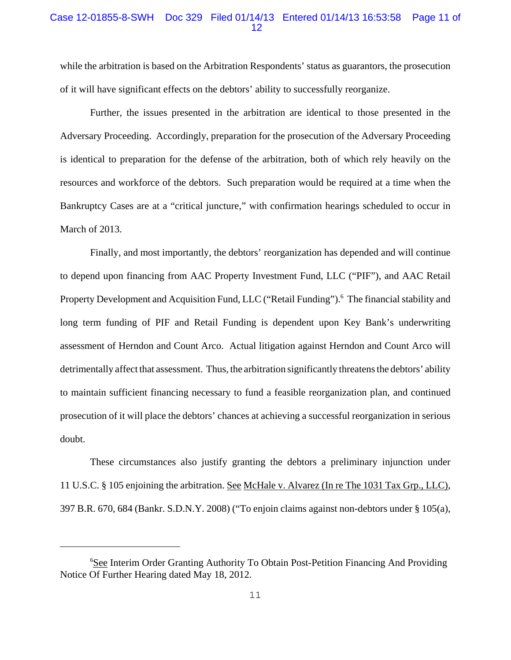## Case 12-01855-8-SWH Doc 329 Filed 01/14/13 Entered 01/14/13 16:53:58 Page 11 of 12

while the arbitration is based on the Arbitration Respondents' status as guarantors, the prosecution of it will have significant effects on the debtors' ability to successfully reorganize.

Further, the issues presented in the arbitration are identical to those presented in the Adversary Proceeding. Accordingly, preparation for the prosecution of the Adversary Proceeding is identical to preparation for the defense of the arbitration, both of which rely heavily on the resources and workforce of the debtors. Such preparation would be required at a time when the Bankruptcy Cases are at a "critical juncture," with confirmation hearings scheduled to occur in March of 2013.

Finally, and most importantly, the debtors' reorganization has depended and will continue to depend upon financing from AAC Property Investment Fund, LLC ("PIF"), and AAC Retail Property Development and Acquisition Fund, LLC ("Retail Funding").<sup>6</sup> The financial stability and long term funding of PIF and Retail Funding is dependent upon Key Bank's underwriting assessment of Herndon and Count Arco. Actual litigation against Herndon and Count Arco will detrimentally affect that assessment. Thus, the arbitration significantly threatens the debtors' ability to maintain sufficient financing necessary to fund a feasible reorganization plan, and continued prosecution of it will place the debtors' chances at achieving a successful reorganization in serious doubt.

These circumstances also justify granting the debtors a preliminary injunction under 11 U.S.C. § 105 enjoining the arbitration. See McHale v. Alvarez (In re The 1031 Tax Grp., LLC), 397 B.R. 670, 684 (Bankr. S.D.N.Y. 2008) ("To enjoin claims against non-debtors under § 105(a),

<sup>&</sup>lt;sup>6</sup>See Interim Order Granting Authority To Obtain Post-Petition Financing And Providing Notice Of Further Hearing dated May 18, 2012.